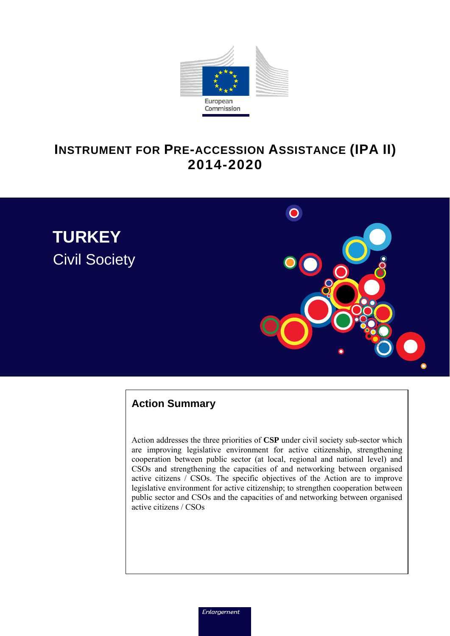

# **INSTRUMENT FOR PRE-ACCESSION ASSISTANCE (IPA II) 2014-2020**





## **Action Summary**

Action addresses the three priorities of **CSP** under civil society sub-sector which are improving legislative environment for active citizenship, strengthening cooperation between public sector (at local, regional and national level) and CSOs and strengthening the capacities of and networking between organised active citizens / CSOs. The specific objectives of the Action are to improve legislative environment for active citizenship; to strengthen cooperation between public sector and CSOs and the capacities of and networking between organised active citizens / CSOs

Enlargement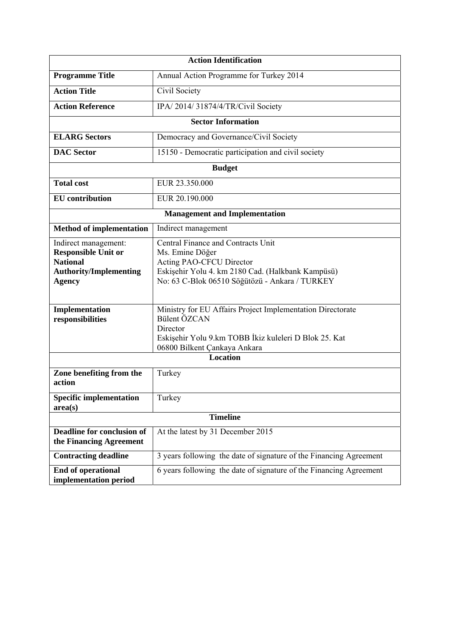|                                                                                                                         | <b>Action Identification</b>                                                                                                                                                                    |  |  |  |  |  |
|-------------------------------------------------------------------------------------------------------------------------|-------------------------------------------------------------------------------------------------------------------------------------------------------------------------------------------------|--|--|--|--|--|
| <b>Programme Title</b>                                                                                                  | Annual Action Programme for Turkey 2014                                                                                                                                                         |  |  |  |  |  |
| <b>Action Title</b>                                                                                                     | Civil Society                                                                                                                                                                                   |  |  |  |  |  |
| <b>Action Reference</b>                                                                                                 | IPA/2014/31874/4/TR/Civil Society                                                                                                                                                               |  |  |  |  |  |
|                                                                                                                         | <b>Sector Information</b>                                                                                                                                                                       |  |  |  |  |  |
| <b>ELARG Sectors</b>                                                                                                    | Democracy and Governance/Civil Society                                                                                                                                                          |  |  |  |  |  |
| <b>DAC</b> Sector                                                                                                       | 15150 - Democratic participation and civil society                                                                                                                                              |  |  |  |  |  |
|                                                                                                                         | <b>Budget</b>                                                                                                                                                                                   |  |  |  |  |  |
| <b>Total cost</b>                                                                                                       | EUR 23.350.000                                                                                                                                                                                  |  |  |  |  |  |
| <b>EU</b> contribution                                                                                                  | EUR 20.190.000                                                                                                                                                                                  |  |  |  |  |  |
|                                                                                                                         | <b>Management and Implementation</b>                                                                                                                                                            |  |  |  |  |  |
| <b>Method of implementation</b>                                                                                         | Indirect management                                                                                                                                                                             |  |  |  |  |  |
| Indirect management:<br><b>Responsible Unit or</b><br><b>National</b><br><b>Authority/Implementing</b><br><b>Agency</b> | Central Finance and Contracts Unit<br>Ms. Emine Döğer<br><b>Acting PAO-CFCU Director</b><br>Eskişehir Yolu 4. km 2180 Cad. (Halkbank Kampüsü)<br>No: 63 C-Blok 06510 Söğütözü - Ankara / TURKEY |  |  |  |  |  |
| Implementation<br>responsibilities                                                                                      | Ministry for EU Affairs Project Implementation Directorate<br>Bülent ÖZCAN<br>Director<br>Eskişehir Yolu 9.km TOBB İkiz kuleleri D Blok 25. Kat<br>06800 Bilkent Çankaya Ankara                 |  |  |  |  |  |
|                                                                                                                         | <b>Location</b>                                                                                                                                                                                 |  |  |  |  |  |
| Zone benefiting from the<br>action                                                                                      | Turkey                                                                                                                                                                                          |  |  |  |  |  |
| <b>Specific implementation</b><br>area(s)                                                                               | Turkey                                                                                                                                                                                          |  |  |  |  |  |
| <b>Timeline</b>                                                                                                         |                                                                                                                                                                                                 |  |  |  |  |  |
| Deadline for conclusion of<br>the Financing Agreement                                                                   | At the latest by 31 December 2015                                                                                                                                                               |  |  |  |  |  |
| <b>Contracting deadline</b>                                                                                             | 3 years following the date of signature of the Financing Agreement                                                                                                                              |  |  |  |  |  |
| <b>End of operational</b><br>implementation period                                                                      | 6 years following the date of signature of the Financing Agreement                                                                                                                              |  |  |  |  |  |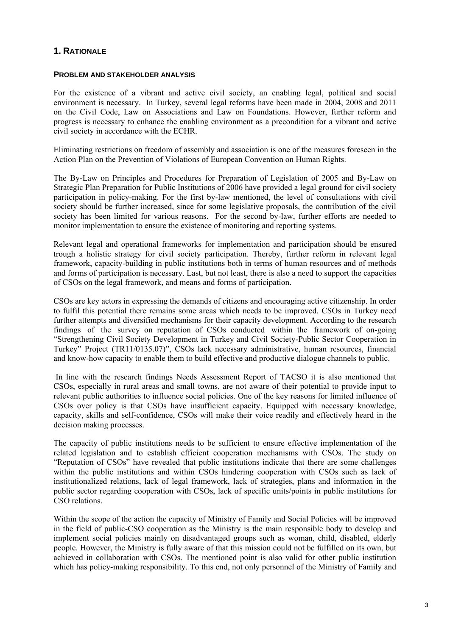## **1. RATIONALE**

#### **PROBLEM AND STAKEHOLDER ANALYSIS**

For the existence of a vibrant and active civil society, an enabling legal, political and social environment is necessary. In Turkey, several legal reforms have been made in 2004, 2008 and 2011 on the Civil Code, Law on Associations and Law on Foundations. However, further reform and progress is necessary to enhance the enabling environment as a precondition for a vibrant and active civil society in accordance with the ECHR.

Eliminating restrictions on freedom of assembly and association is one of the measures foreseen in the Action Plan on the Prevention of Violations of European Convention on Human Rights.

The By-Law on Principles and Procedures for Preparation of Legislation of 2005 and By-Law on Strategic Plan Preparation for Public Institutions of 2006 have provided a legal ground for civil society participation in policy-making. For the first by-law mentioned, the level of consultations with civil society should be further increased, since for some legislative proposals, the contribution of the civil society has been limited for various reasons. For the second by-law, further efforts are needed to monitor implementation to ensure the existence of monitoring and reporting systems.

Relevant legal and operational frameworks for implementation and participation should be ensured trough a holistic strategy for civil society participation. Thereby, further reform in relevant legal framework, capacity-building in public institutions both in terms of human resources and of methods and forms of participation is necessary. Last, but not least, there is also a need to support the capacities of CSOs on the legal framework, and means and forms of participation.

CSOs are key actors in expressing the demands of citizens and encouraging active citizenship. In order to fulfil this potential there remains some areas which needs to be improved. CSOs in Turkey need further attempts and diversified mechanisms for their capacity development. According to the research findings of the survey on reputation of CSOs conducted within the framework of on-going "Strengthening Civil Society Development in Turkey and Civil Society-Public Sector Cooperation in Turkey" Project (TR11/0135.07)", CSOs lack necessary administrative, human resources, financial and know-how capacity to enable them to build effective and productive dialogue channels to public.

In line with the research findings Needs Assessment Report of TACSO it is also mentioned that CSOs, especially in rural areas and small towns, are not aware of their potential to provide input to relevant public authorities to influence social policies. One of the key reasons for limited influence of CSOs over policy is that CSOs have insufficient capacity. Equipped with necessary knowledge, capacity, skills and self-confidence, CSOs will make their voice readily and effectively heard in the decision making processes.

The capacity of public institutions needs to be sufficient to ensure effective implementation of the related legislation and to establish efficient cooperation mechanisms with CSOs. The study on "Reputation of CSOs" have revealed that public institutions indicate that there are some challenges within the public institutions and within CSOs hindering cooperation with CSOs such as lack of institutionalized relations, lack of legal framework, lack of strategies, plans and information in the public sector regarding cooperation with CSOs, lack of specific units/points in public institutions for CSO relations.

Within the scope of the action the capacity of Ministry of Family and Social Policies will be improved in the field of public-CSO cooperation as the Ministry is the main responsible body to develop and implement social policies mainly on disadvantaged groups such as woman, child, disabled, elderly people. However, the Ministry is fully aware of that this mission could not be fulfilled on its own, but achieved in collaboration with CSOs. The mentioned point is also valid for other public institution which has policy-making responsibility. To this end, not only personnel of the Ministry of Family and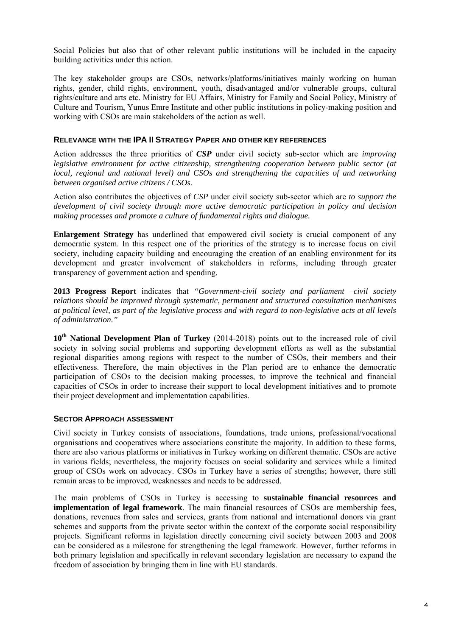Social Policies but also that of other relevant public institutions will be included in the capacity building activities under this action.

The key stakeholder groups are CSOs, networks/platforms/initiatives mainly working on human rights, gender, child rights, environment, youth, disadvantaged and/or vulnerable groups, cultural rights/culture and arts etc. Ministry for EU Affairs, Ministry for Family and Social Policy, Ministry of Culture and Tourism, Yunus Emre Institute and other public institutions in policy-making position and working with CSOs are main stakeholders of the action as well.

#### **RELEVANCE WITH THE IPA II STRATEGY PAPER AND OTHER KEY REFERENCES**

Action addresses the three priorities of *CSP* under civil society sub-sector which are *improving legislative environment for active citizenship, strengthening cooperation between public sector (at local, regional and national level) and CSOs and strengthening the capacities of and networking between organised active citizens / CSOs.* 

Action also contributes the objectives of *CSP* under civil society sub-sector which are *to support the development of civil society through more active democratic participation in policy and decision making processes and promote a culture of fundamental rights and dialogue.* 

**Enlargement Strategy** has underlined that empowered civil society is crucial component of any democratic system. In this respect one of the priorities of the strategy is to increase focus on civil society, including capacity building and encouraging the creation of an enabling environment for its development and greater involvement of stakeholders in reforms, including through greater transparency of government action and spending.

**2013 Progress Report** indicates that *"Government-civil society and parliament –civil society relations should be improved through systematic, permanent and structured consultation mechanisms at political level, as part of the legislative process and with regard to non-legislative acts at all levels of administration."* 

**10th National Development Plan of Turkey** (2014-2018) points out to the increased role of civil society in solving social problems and supporting development efforts as well as the substantial regional disparities among regions with respect to the number of CSOs, their members and their effectiveness. Therefore, the main objectives in the Plan period are to enhance the democratic participation of CSOs to the decision making processes, to improve the technical and financial capacities of CSOs in order to increase their support to local development initiatives and to promote their project development and implementation capabilities.

#### **SECTOR APPROACH ASSESSMENT**

Civil society in Turkey consists of associations, foundations, trade unions, professional/vocational organisations and cooperatives where associations constitute the majority. In addition to these forms, there are also various platforms or initiatives in Turkey working on different thematic. CSOs are active in various fields; nevertheless, the majority focuses on social solidarity and services while a limited group of CSOs work on advocacy. CSOs in Turkey have a series of strengths; however, there still remain areas to be improved, weaknesses and needs to be addressed.

The main problems of CSOs in Turkey is accessing to **sustainable financial resources and implementation of legal framework**. The main financial resources of CSOs are membership fees, donations, revenues from sales and services, grants from national and international donors via grant schemes and supports from the private sector within the context of the corporate social responsibility projects. Significant reforms in legislation directly concerning civil society between 2003 and 2008 can be considered as a milestone for strengthening the legal framework. However, further reforms in both primary legislation and specifically in relevant secondary legislation are necessary to expand the freedom of association by bringing them in line with EU standards.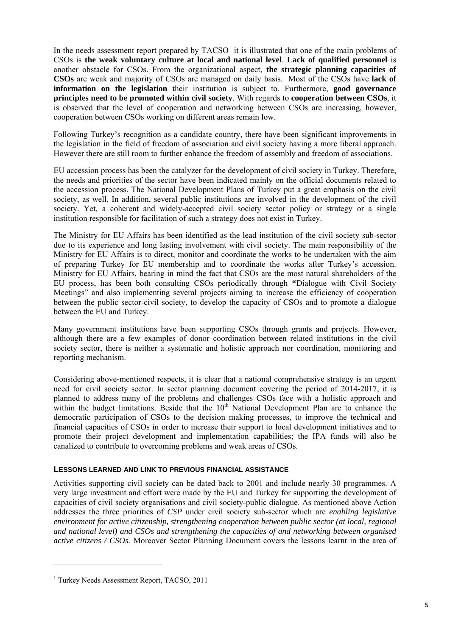In the needs assessment report prepared by  $TACSO<sup>1</sup>$  it is illustrated that one of the main problems of CSOs is **the weak voluntary culture at local and national level**. **Lack of qualified personnel** is another obstacle for CSOs. From the organizational aspect, **the strategic planning capacities of CSOs** are weak and majority of CSOs are managed on daily basis.Most of the CSOs have **lack of information on the legislation** their institution is subject to. Furthermore, **good governance principles need to be promoted within civil society**. With regards to **cooperation between CSOs**, it is observed that the level of cooperation and networking between CSOs are increasing, however, cooperation between CSOs working on different areas remain low.

Following Turkey's recognition as a candidate country, there have been significant improvements in the legislation in the field of freedom of association and civil society having a more liberal approach. However there are still room to further enhance the freedom of assembly and freedom of associations.

EU accession process has been the catalyzer for the development of civil society in Turkey. Therefore, the needs and priorities of the sector have been indicated mainly on the official documents related to the accession process. The National Development Plans of Turkey put a great emphasis on the civil society, as well. In addition, several public institutions are involved in the development of the civil society. Yet, a coherent and widely-accepted civil society sector policy or strategy or a single institution responsible for facilitation of such a strategy does not exist in Turkey.

The Ministry for EU Affairs has been identified as the lead institution of the civil society sub-sector due to its experience and long lasting involvement with civil society. The main responsibility of the Ministry for EU Affairs is to direct, monitor and coordinate the works to be undertaken with the aim of preparing Turkey for EU membership and to coordinate the works after Turkey's accession. Ministry for EU Affairs, bearing in mind the fact that CSOs are the most natural shareholders of the EU process, has been both consulting CSOs periodically through **"**Dialogue with Civil Society Meetings" and also implementing several projects aiming to increase the efficiency of cooperation between the public sector-civil society, to develop the capacity of CSOs and to promote a dialogue between the EU and Turkey.

Many government institutions have been supporting CSOs through grants and projects. However, although there are a few examples of donor coordination between related institutions in the civil society sector, there is neither a systematic and holistic approach nor coordination, monitoring and reporting mechanism.

Considering above-mentioned respects, it is clear that a national comprehensive strategy is an urgent need for civil society sector. In sector planning document covering the period of 2014-2017, it is planned to address many of the problems and challenges CSOs face with a holistic approach and within the budget limitations. Beside that the  $10<sup>th</sup>$  National Development Plan are to enhance the democratic participation of CSOs to the decision making processes, to improve the technical and financial capacities of CSOs in order to increase their support to local development initiatives and to promote their project development and implementation capabilities; the IPA funds will also be canalized to contribute to overcoming problems and weak areas of CSOs.

#### **LESSONS LEARNED AND LINK TO PREVIOUS FINANCIAL ASSISTANCE**

Activities supporting civil society can be dated back to 2001 and include nearly 30 programmes. A very large investment and effort were made by the EU and Turkey for supporting the development of capacities of civil society organisations and civil society-public dialogue. As mentioned above Action addresses the three priorities of *CSP* under civil society sub-sector which are *enabling legislative environment for active citizenship, strengthening cooperation between public sector (at local, regional and national level) and CSOs and strengthening the capacities of and networking between organised active citizens / CSOs.* Moreover Sector Planning Document covers the lessons learnt in the area of

-

<sup>&</sup>lt;sup>1</sup> Turkey Needs Assessment Report, TACSO, 2011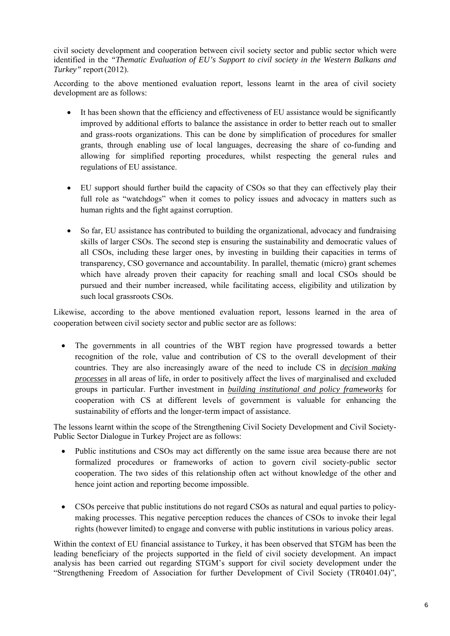civil society development and cooperation between civil society sector and public sector which were identified in the *"Thematic Evaluation of EU's Support to civil society in the Western Balkans and Turkey"* report(2012).

According to the above mentioned evaluation report, lessons learnt in the area of civil society development are as follows:

- It has been shown that the efficiency and effectiveness of EU assistance would be significantly improved by additional efforts to balance the assistance in order to better reach out to smaller and grass-roots organizations. This can be done by simplification of procedures for smaller grants, through enabling use of local languages, decreasing the share of co-funding and allowing for simplified reporting procedures, whilst respecting the general rules and regulations of EU assistance.
- EU support should further build the capacity of CSOs so that they can effectively play their full role as "watchdogs" when it comes to policy issues and advocacy in matters such as human rights and the fight against corruption.
- So far, EU assistance has contributed to building the organizational, advocacy and fundraising skills of larger CSOs. The second step is ensuring the sustainability and democratic values of all CSOs, including these larger ones, by investing in building their capacities in terms of transparency, CSO governance and accountability. In parallel, thematic (micro) grant schemes which have already proven their capacity for reaching small and local CSOs should be pursued and their number increased, while facilitating access, eligibility and utilization by such local grassroots CSOs.

Likewise, according to the above mentioned evaluation report, lessons learned in the area of cooperation between civil society sector and public sector are as follows:

• The governments in all countries of the WBT region have progressed towards a better recognition of the role, value and contribution of CS to the overall development of their countries. They are also increasingly aware of the need to include CS in *decision making processes* in all areas of life, in order to positively affect the lives of marginalised and excluded groups in particular. Further investment in *building institutional and policy frameworks* for cooperation with CS at different levels of government is valuable for enhancing the sustainability of efforts and the longer-term impact of assistance.

The lessons learnt within the scope of the Strengthening Civil Society Development and Civil Society-Public Sector Dialogue in Turkey Project are as follows:

- Public institutions and CSOs may act differently on the same issue area because there are not formalized procedures or frameworks of action to govern civil society-public sector cooperation. The two sides of this relationship often act without knowledge of the other and hence joint action and reporting become impossible.
- CSOs perceive that public institutions do not regard CSOs as natural and equal parties to policymaking processes. This negative perception reduces the chances of CSOs to invoke their legal rights (however limited) to engage and converse with public institutions in various policy areas.

Within the context of EU financial assistance to Turkey, it has been observed that STGM has been the leading beneficiary of the projects supported in the field of civil society development. An impact analysis has been carried out regarding STGM's support for civil society development under the "Strengthening Freedom of Association for further Development of Civil Society (TR0401.04)",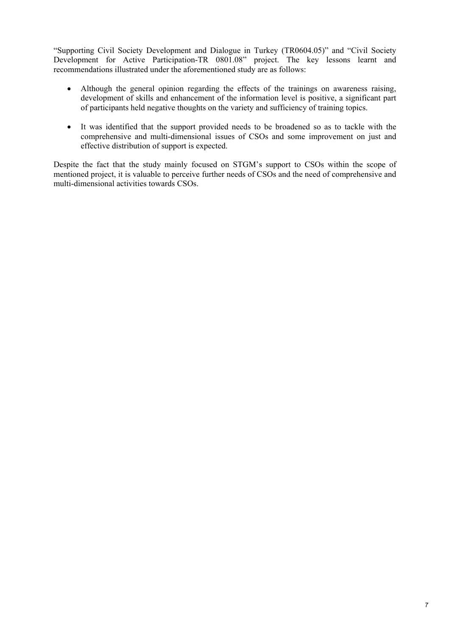"Supporting Civil Society Development and Dialogue in Turkey (TR0604.05)" and "Civil Society Development for Active Participation-TR 0801.08" project. The key lessons learnt and recommendations illustrated under the aforementioned study are as follows:

- Although the general opinion regarding the effects of the trainings on awareness raising, development of skills and enhancement of the information level is positive, a significant part of participants held negative thoughts on the variety and sufficiency of training topics.
- It was identified that the support provided needs to be broadened so as to tackle with the comprehensive and multi-dimensional issues of CSOs and some improvement on just and effective distribution of support is expected.

Despite the fact that the study mainly focused on STGM's support to CSOs within the scope of mentioned project, it is valuable to perceive further needs of CSOs and the need of comprehensive and multi-dimensional activities towards CSOs.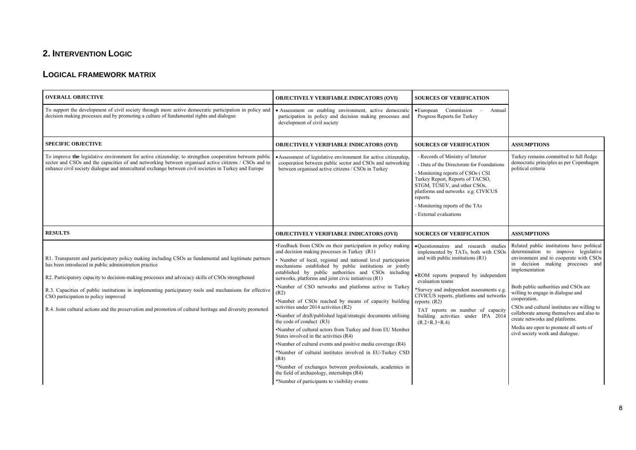## **2. INTERVENTION LOGIC**

#### **LOGICAL FRAMEWORK MATRIX**

| <b>OVERALL OBJECTIVE</b>                                                                                                                                                                                                                                                                                                                                                                                                                                                                                                            | <b>OBJECTIVELY VERIFIABLE INDICATORS (OVI)</b>                                                                                                                                                                                                                                                                                                                                                                                                                                                                                                                                                                                                                                                                                                                                                                                                                                                                                                                                                                                | <b>SOURCES OF VERIFICATION</b>                                                                                                                                                                                                                                                                                                                                                        |                                                                                                                                                                                                                                                                                                                                                                                                                                                                                            |
|-------------------------------------------------------------------------------------------------------------------------------------------------------------------------------------------------------------------------------------------------------------------------------------------------------------------------------------------------------------------------------------------------------------------------------------------------------------------------------------------------------------------------------------|-------------------------------------------------------------------------------------------------------------------------------------------------------------------------------------------------------------------------------------------------------------------------------------------------------------------------------------------------------------------------------------------------------------------------------------------------------------------------------------------------------------------------------------------------------------------------------------------------------------------------------------------------------------------------------------------------------------------------------------------------------------------------------------------------------------------------------------------------------------------------------------------------------------------------------------------------------------------------------------------------------------------------------|---------------------------------------------------------------------------------------------------------------------------------------------------------------------------------------------------------------------------------------------------------------------------------------------------------------------------------------------------------------------------------------|--------------------------------------------------------------------------------------------------------------------------------------------------------------------------------------------------------------------------------------------------------------------------------------------------------------------------------------------------------------------------------------------------------------------------------------------------------------------------------------------|
| To support the development of civil society through more active democratic participation in policy and<br>decision making processes and by promoting a culture of fundamental rights and dialogue                                                                                                                                                                                                                                                                                                                                   | • Assessment on enabling environment, active democratic<br>participation in policy and decision making processes and<br>development of civil society                                                                                                                                                                                                                                                                                                                                                                                                                                                                                                                                                                                                                                                                                                                                                                                                                                                                          | • European Commission<br>Annual<br>$\equiv$<br>Progress Reports for Turkey                                                                                                                                                                                                                                                                                                            |                                                                                                                                                                                                                                                                                                                                                                                                                                                                                            |
| <b>SPECIFIC OBJECTIVE</b>                                                                                                                                                                                                                                                                                                                                                                                                                                                                                                           | <b>OBJECTIVELY VERIFIABLE INDICATORS (OVI)</b>                                                                                                                                                                                                                                                                                                                                                                                                                                                                                                                                                                                                                                                                                                                                                                                                                                                                                                                                                                                | <b>SOURCES OF VERIFICATION</b>                                                                                                                                                                                                                                                                                                                                                        | <b>ASSUMPTIONS</b>                                                                                                                                                                                                                                                                                                                                                                                                                                                                         |
| To improve the legislative environment for active citizenship; to strengthen cooperation between public<br>sector and CSOs and the capacities of and networking between organised active citizens / CSOs and to<br>enhance civil society dialogue and intercultural exchange between civil societies in Turkey and Europe                                                                                                                                                                                                           | • Assessment of legislative environment for active citizenship,<br>cooperation between public sector and CSOs and networking<br>between organised active citizens / CSOs in Turkey                                                                                                                                                                                                                                                                                                                                                                                                                                                                                                                                                                                                                                                                                                                                                                                                                                            | - Records of Ministry of Interior<br>- Data of the Directorate for Foundations<br>- Monitoring reports of CSOs (CSI<br>Turkey Report, Reports of TACSO,<br>STGM, TÜSEV, and other CSOs,<br>platforms and networks e.g. CIVICUS<br>reports<br>- Monitoring reports of the TAs<br>- External evaluations                                                                                | Turkey remains committed to full fledge<br>democratic principles as per Copenhagen<br>political criteria                                                                                                                                                                                                                                                                                                                                                                                   |
| <b>RESULTS</b>                                                                                                                                                                                                                                                                                                                                                                                                                                                                                                                      | <b>OBJECTIVELY VERIFIABLE INDICATORS (OVI)</b>                                                                                                                                                                                                                                                                                                                                                                                                                                                                                                                                                                                                                                                                                                                                                                                                                                                                                                                                                                                | <b>SOURCES OF VERIFICATION</b>                                                                                                                                                                                                                                                                                                                                                        | <b>ASSUMPTIONS</b>                                                                                                                                                                                                                                                                                                                                                                                                                                                                         |
| R1. Transparent and participatory policy making including CSOs as fundamental and legitimate partners<br>has been introduced in public administration practice<br>R2. Participatory capacity to decision-making processes and advocacy skills of CSOs strengthened<br>R.3. Capacities of public institutions in implementing participatory tools and mechanisms for effective<br>CSO participation to policy improved<br>R.4. Joint cultural actions and the preservation and promotion of cultural heritage and diversity promoted | •Feedback from CSOs on their participation in policy making<br>and decision making processes in Turkey (R1)<br>• Number of local, regional and national level participation<br>mechanisms established by public institutions or jointly<br>established by public authorities and CSOs including<br>networks, platforms and joint civic initiatives (R1)<br>.Number of CSO networks and platforms active in Turkey<br>(R2)<br>.Number of CSOs reached by means of capacity building<br>activities under 2014 activities (R2)<br>•Number of draft/published legal/strategic documents utilising<br>the code of conduct (R3)<br>.Number of cultural actors from Turkey and from EU Member<br>States involved in the activities (R4)<br>•Number of cultural events and positive media coverage (R4)<br>*Number of cultural institutes involved in EU-Turkey CSD<br>(R4)<br>*Number of exchanges between professionals, academics in<br>the field of archaeology, internships (R4)<br>*Number of participants to visibility events | ·Ouestionnaires and research studies<br>implemented by TATs, both with CSOs<br>and with public institutions (R1)<br>• ROM reports prepared by independent<br>evaluation teams<br>*Survey and independent assessments e.g.<br>CIVICUS reports, platforms and networks<br>reports. $(R2)$<br>TAT reports on number of capacity<br>building activities under IPA 2014<br>$(R.2+R.3+R.4)$ | Related public institutions have political<br>determination to improve legislative<br>environment and to cooperate with CSOs<br>in decision making processes and<br>implementation<br>Both public authorities and CSOs are<br>willing to engage in dialogue and<br>cooperation.<br>CSOs and cultural institutes are willing to<br>collaborate among themselves and also to<br>create networks and platforms.<br>Media are open to promote all sorts of<br>civil society work and dialogue. |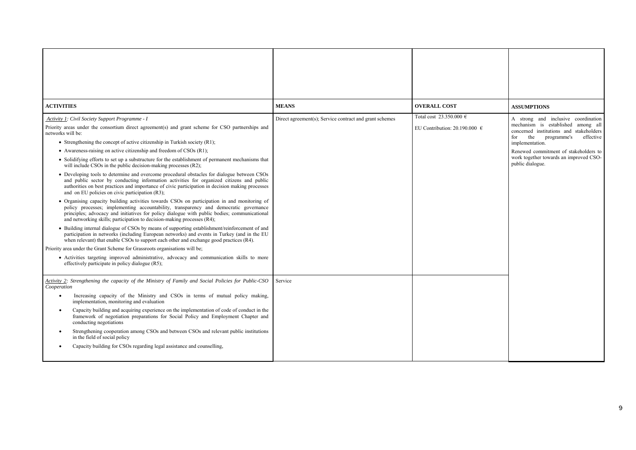| <b>ACTIVITIES</b>                                                                                                                                                                                                                                                                                                                                                | <b>MEANS</b>                                            | <b>OVERALL COST</b>               | <b>ASSUMPTIONS</b>                                                                                                   |
|------------------------------------------------------------------------------------------------------------------------------------------------------------------------------------------------------------------------------------------------------------------------------------------------------------------------------------------------------------------|---------------------------------------------------------|-----------------------------------|----------------------------------------------------------------------------------------------------------------------|
| Activity 1: Civil Society Support Programme - I                                                                                                                                                                                                                                                                                                                  | Direct agreement(s); Service contract and grant schemes | Total cost 23.350.000 $\in$       | A strong and inclusive coordination                                                                                  |
| Priority areas under the consortium direct agreement(s) and grant scheme for CSO partnerships and<br>networks will be:                                                                                                                                                                                                                                           |                                                         | EU Contribution: 20.190.000 $\in$ | mechanism is established among all<br>concerned institutions and stakeholders<br>the programme's<br>for<br>effective |
| • Strengthening the concept of active citizenship in Turkish society $(R1)$ ;                                                                                                                                                                                                                                                                                    |                                                         |                                   | implementation.                                                                                                      |
| • Awareness-raising on active citizenship and freedom of $CSOs (R1)$ ;<br>• Solidifying efforts to set up a substructure for the establishment of permanent mechanisms that<br>will include CSOs in the public decision-making processes (R2);                                                                                                                   |                                                         |                                   | Renewed commitment of stakeholders to<br>work together towards an improved CSO-<br>public dialogue.                  |
| • Developing tools to determine and overcome procedural obstacles for dialogue between CSOs<br>and public sector by conducting information activities for organized citizens and public<br>authorities on best practices and importance of civic participation in decision making processes<br>and on EU policies on civic participation (R3);                   |                                                         |                                   |                                                                                                                      |
| · Organising capacity building activities towards CSOs on participation in and monitoring of<br>policy processes; implementing accountability, transparency and democratic governance<br>principles; advocacy and initiatives for policy dialogue with public bodies; communicational<br>and networking skills; participation to decision-making processes (R4); |                                                         |                                   |                                                                                                                      |
| • Building internal dialogue of CSOs by means of supporting establishment/reinforcement of and<br>participation in networks (including European networks) and events in Turkey (and in the EU<br>when relevant) that enable CSOs to support each other and exchange good practices (R4).                                                                         |                                                         |                                   |                                                                                                                      |
| Priority area under the Grant Scheme for Grassroots organisations will be;                                                                                                                                                                                                                                                                                       |                                                         |                                   |                                                                                                                      |
| • Activities targeting improved administrative, advocacy and communication skills to more<br>effectively participate in policy dialogue (R5);                                                                                                                                                                                                                    |                                                         |                                   |                                                                                                                      |
| Activity 2: Strengthening the capacity of the Ministry of Family and Social Policies for Public-CSO<br>Cooperation                                                                                                                                                                                                                                               | Service                                                 |                                   |                                                                                                                      |
| Increasing capacity of the Ministry and CSOs in terms of mutual policy making,<br>implementation, monitoring and evaluation                                                                                                                                                                                                                                      |                                                         |                                   |                                                                                                                      |
| Capacity building and acquiring experience on the implementation of code of conduct in the<br>$\bullet$<br>framework of negotiation preparations for Social Policy and Employment Chapter and<br>conducting negotiations                                                                                                                                         |                                                         |                                   |                                                                                                                      |
| Strengthening cooperation among CSOs and between CSOs and relevant public institutions<br>in the field of social policy                                                                                                                                                                                                                                          |                                                         |                                   |                                                                                                                      |
| Capacity building for CSOs regarding legal assistance and counselling.                                                                                                                                                                                                                                                                                           |                                                         |                                   |                                                                                                                      |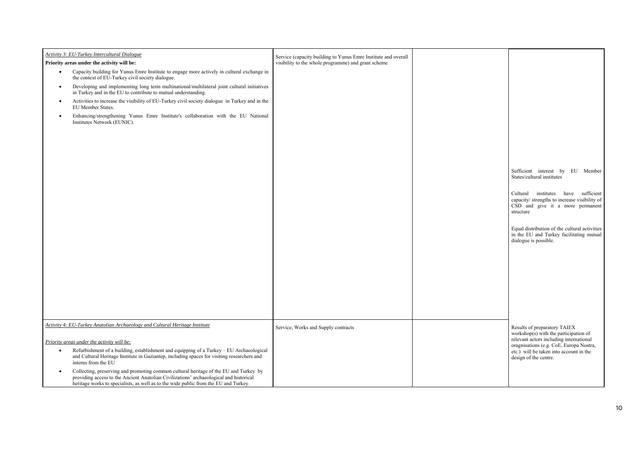| Activity 3: EU-Turkey Intercultural Dialogue<br>Priority areas under the activity will be:                                                                                                                                                                                                                                                | Service (capacity building to Yunus Emre Institute and overall<br>visibility to the whole programme) and grant scheme |                                                                                                                                       |
|-------------------------------------------------------------------------------------------------------------------------------------------------------------------------------------------------------------------------------------------------------------------------------------------------------------------------------------------|-----------------------------------------------------------------------------------------------------------------------|---------------------------------------------------------------------------------------------------------------------------------------|
| Capacity building for Yunus Emre Institute to engage more actively in cultural exchange in<br>$\bullet$<br>the context of EU-Turkey civil society dialogue.<br>Developing and implementing long term multinational/multilateral joint cultural initiatives<br>$\bullet$<br>in Turkey and in the EU to contribute to mutual understanding. |                                                                                                                       |                                                                                                                                       |
| Activities to increase the visibility of EU-Turkey civil society dialogue in Turkey and in the<br>$\bullet$<br>EU Member States.                                                                                                                                                                                                          |                                                                                                                       |                                                                                                                                       |
| Enhancing/strengthening Yunus Emre Institute's collaboration with the EU National<br>$\bullet$<br>Institutes Network (EUNIC).                                                                                                                                                                                                             |                                                                                                                       | Sufficient interest by EU Member<br>States/cultural institutes                                                                        |
|                                                                                                                                                                                                                                                                                                                                           |                                                                                                                       | Cultural institutes have sufficient<br>capacity/ strengths to increase visibility of<br>CSD and give it a more permanent<br>structure |
|                                                                                                                                                                                                                                                                                                                                           |                                                                                                                       | Equal distribution of the cultural activities<br>in the EU and Turkey facilitating mutual<br>dialogue is possible.                    |
|                                                                                                                                                                                                                                                                                                                                           |                                                                                                                       |                                                                                                                                       |
|                                                                                                                                                                                                                                                                                                                                           |                                                                                                                       |                                                                                                                                       |
| Activity 4: EU-Turkey Anatolian Archaeology and Cultural Heritage Institute                                                                                                                                                                                                                                                               | Service, Works and Supply contracts                                                                                   | Results of preparatory TAIEX<br>workshop( $s$ ) with the participation of                                                             |
| Priority areas under the activity will be:                                                                                                                                                                                                                                                                                                |                                                                                                                       | relevant actors including international<br>oragnisations (e.g. CoE, Europa Nostra,                                                    |
| Refurbishment of a building, establishment and equipping of a Turkey - EU Archaeological<br>$\bullet$<br>and Cultural Heritage Institute in Gaziantep, including spaces for visiting researchers and<br>interns from the EU                                                                                                               |                                                                                                                       | etc.) will be taken into account in the<br>design of the centre.                                                                      |
| Collecting, preserving and promoting common cultural heritage of the EU and Turkey by<br>$\bullet$<br>providing access to the Ancient Anatolian Civilizations' archaeological and historical<br>heritage works to specialists, as well as to the wide public from the EU and Turkey.                                                      |                                                                                                                       |                                                                                                                                       |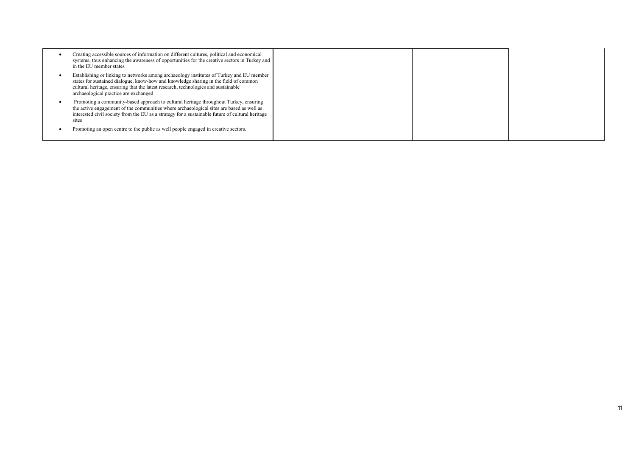| Creating accessible sources of information on different cultures, political and economical<br>systems, thus enhancing the awareness of opportunities for the creative sectors in Turkey and<br>in the EU member states                                                                                          |  |  |
|-----------------------------------------------------------------------------------------------------------------------------------------------------------------------------------------------------------------------------------------------------------------------------------------------------------------|--|--|
| Establishing or linking to networks among archaeology institutes of Turkey and EU member<br>states for sustained dialogue, know-how and knowledge sharing in the field of common<br>cultural heritage, ensuring that the latest research, technologies and sustainable<br>archaeological practice are exchanged |  |  |
| Promoting a community-based approach to cultural heritage throughout Turkey, ensuring<br>the active engagement of the communities where archaeological sites are based as well as<br>interested civil society from the EU as a strategy for a sustainable future of cultural heritage<br>sites                  |  |  |
| Promoting an open centre to the public as well people engaged in creative sectors.                                                                                                                                                                                                                              |  |  |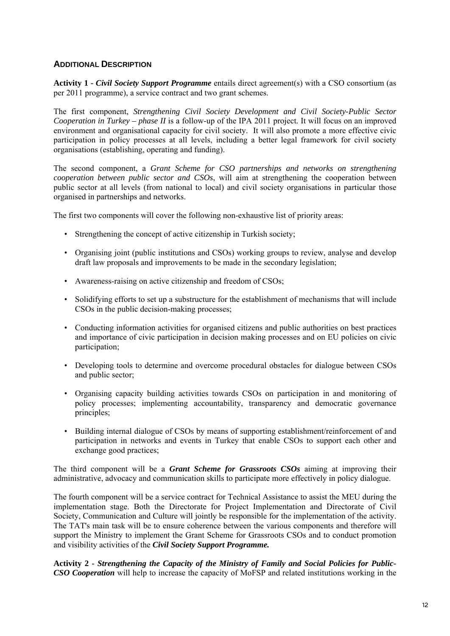## **ADDITIONAL DESCRIPTION**

**Activity 1 -** *Civil Society Support Programme* entails direct agreement(s) with a CSO consortium (as per 2011 programme), a service contract and two grant schemes.

The first component, *Strengthening Civil Society Development and Civil Society-Public Sector Cooperation in Turkey – phase II* is a follow-up of the IPA 2011 project*.* It will focus on an improved environment and organisational capacity for civil society. It will also promote a more effective civic participation in policy processes at all levels, including a better legal framework for civil society organisations (establishing, operating and funding).

The second component, a *Grant Scheme for CSO partnerships and networks on strengthening cooperation between public sector and CSOs*, will aim at strengthening the cooperation between public sector at all levels (from national to local) and civil society organisations in particular those organised in partnerships and networks.

The first two components will cover the following non-exhaustive list of priority areas:

- Strengthening the concept of active citizenship in Turkish society;
- Organising joint (public institutions and CSOs) working groups to review, analyse and develop draft law proposals and improvements to be made in the secondary legislation;
- Awareness-raising on active citizenship and freedom of CSOs;
- Solidifying efforts to set up a substructure for the establishment of mechanisms that will include CSOs in the public decision-making processes;
- Conducting information activities for organised citizens and public authorities on best practices and importance of civic participation in decision making processes and on EU policies on civic participation;
- Developing tools to determine and overcome procedural obstacles for dialogue between CSOs and public sector;
- Organising capacity building activities towards CSOs on participation in and monitoring of policy processes; implementing accountability, transparency and democratic governance principles;
- Building internal dialogue of CSOs by means of supporting establishment/reinforcement of and participation in networks and events in Turkey that enable CSOs to support each other and exchange good practices;

The third component will be a *Grant Scheme for Grassroots CSOs* aiming at improving their administrative, advocacy and communication skills to participate more effectively in policy dialogue.

The fourth component will be a service contract for Technical Assistance to assist the MEU during the implementation stage. Both the Directorate for Project Implementation and Directorate of Civil Society, Communication and Culture will jointly be responsible for the implementation of the activity. The TAT's main task will be to ensure coherence between the various components and therefore will support the Ministry to implement the Grant Scheme for Grassroots CSOs and to conduct promotion and visibility activities of the *Civil Society Support Programme.*

**Activity 2 -** *Strengthening the Capacity of the Ministry of Family and Social Policies for Public-CSO Cooperation* will help to increase the capacity of MoFSP and related institutions working in the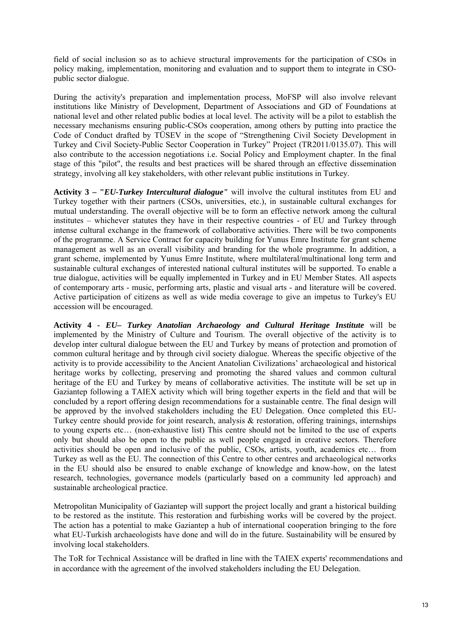field of social inclusion so as to achieve structural improvements for the participation of CSOs in policy making, implementation, monitoring and evaluation and to support them to integrate in CSOpublic sector dialogue.

During the activity's preparation and implementation process, MoFSP will also involve relevant institutions like Ministry of Development, Department of Associations and GD of Foundations at national level and other related public bodies at local level. The activity will be a pilot to establish the necessary mechanisms ensuring public-CSOs cooperation, among others by putting into practice the Code of Conduct drafted by TÜSEV in the scope of "Strengthening Civil Society Development in Turkey and Civil Society-Public Sector Cooperation in Turkey" Project (TR2011/0135.07). This will also contribute to the accession negotiations i.e. Social Policy and Employment chapter. In the final stage of this "pilot", the results and best practices will be shared through an effective dissemination strategy, involving all key stakeholders, with other relevant public institutions in Turkey.

**Activity 3 – "***EU-Turkey Intercultural dialogue"* will involve the cultural institutes from EU and Turkey together with their partners (CSOs, universities, etc.), in sustainable cultural exchanges for mutual understanding. The overall objective will be to form an effective network among the cultural institutes – whichever statutes they have in their respective countries - of EU and Turkey through intense cultural exchange in the framework of collaborative activities. There will be two components of the programme. A Service Contract for capacity building for Yunus Emre Institute for grant scheme management as well as an overall visibility and branding for the whole programme. In addition, a grant scheme, implemented by Yunus Emre Institute, where multilateral/multinational long term and sustainable cultural exchanges of interested national cultural institutes will be supported. To enable a true dialogue, activities will be equally implemented in Turkey and in EU Member States. All aspects of contemporary arts - music, performing arts, plastic and visual arts - and literature will be covered. Active participation of citizens as well as wide media coverage to give an impetus to Turkey's EU accession will be encouraged.

**Activity 4 -** *EU– Turkey Anatolian Archaeology and Cultural Heritage Institute* will be implemented by the Ministry of Culture and Tourism. The overall objective of the activity is to develop inter cultural dialogue between the EU and Turkey by means of protection and promotion of common cultural heritage and by through civil society dialogue. Whereas the specific objective of the activity is to provide accessibility to the Ancient Anatolian Civilizations' archaeological and historical heritage works by collecting, preserving and promoting the shared values and common cultural heritage of the EU and Turkey by means of collaborative activities. The institute will be set up in Gaziantep following a TAIEX activity which will bring together experts in the field and that will be concluded by a report offering design recommendations for a sustainable centre. The final design will be approved by the involved stakeholders including the EU Delegation. Once completed this EU-Turkey centre should provide for joint research, analysis & restoration, offering trainings, internships to young experts etc… (non-exhaustive list) This centre should not be limited to the use of experts only but should also be open to the public as well people engaged in creative sectors. Therefore activities should be open and inclusive of the public, CSOs, artists, youth, academics etc… from Turkey as well as the EU. The connection of this Centre to other centres and archaeological networks in the EU should also be ensured to enable exchange of knowledge and know-how, on the latest research, technologies, governance models (particularly based on a community led approach) and sustainable archeological practice.

Metropolitan Municipality of Gaziantep will support the project locally and grant a historical building to be restored as the institute. This restoration and furbishing works will be covered by the project. The action has a potential to make Gaziantep a hub of international cooperation bringing to the fore what EU-Turkish archaeologists have done and will do in the future. Sustainability will be ensured by involving local stakeholders.

The ToR for Technical Assistance will be drafted in line with the TAIEX experts' recommendations and in accordance with the agreement of the involved stakeholders including the EU Delegation.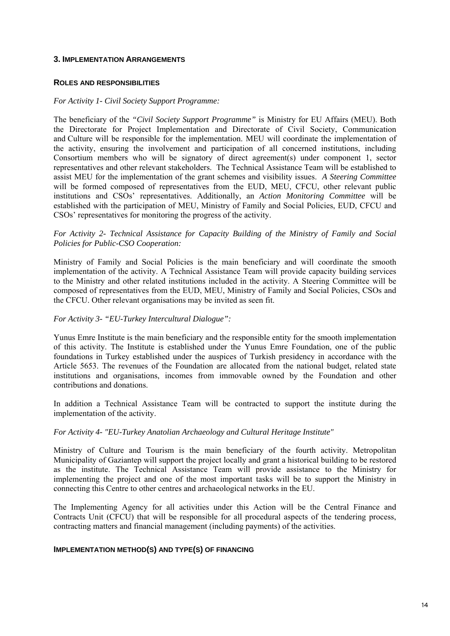#### **3. IMPLEMENTATION ARRANGEMENTS**

#### **ROLES AND RESPONSIBILITIES**

#### *For Activity 1- Civil Society Support Programme:*

The beneficiary of the *"Civil Society Support Programme"* is Ministry for EU Affairs (MEU). Both the Directorate for Project Implementation and Directorate of Civil Society, Communication and Culture will be responsible for the implementation. MEU will coordinate the implementation of the activity, ensuring the involvement and participation of all concerned institutions, including Consortium members who will be signatory of direct agreement(s) under component 1, sector representatives and other relevant stakeholders. The Technical Assistance Team will be established to assist MEU for the implementation of the grant schemes and visibility issues. *A Steering Committee* will be formed composed of representatives from the EUD, MEU, CFCU, other relevant public institutions and CSOs' representatives. Additionally, an *Action Monitoring Committee* will be established with the participation of MEU, Ministry of Family and Social Policies, EUD, CFCU and CSOs' representatives for monitoring the progress of the activity.

#### *For Activity 2- Technical Assistance for Capacity Building of the Ministry of Family and Social Policies for Public-CSO Cooperation:*

Ministry of Family and Social Policies is the main beneficiary and will coordinate the smooth implementation of the activity. A Technical Assistance Team will provide capacity building services to the Ministry and other related institutions included in the activity. A Steering Committee will be composed of representatives from the EUD, MEU, Ministry of Family and Social Policies, CSOs and the CFCU. Other relevant organisations may be invited as seen fit.

#### *For Activity 3- "EU-Turkey Intercultural Dialogue":*

Yunus Emre Institute is the main beneficiary and the responsible entity for the smooth implementation of this activity. The Institute is established under the Yunus Emre Foundation, one of the public foundations in Turkey established under the auspices of Turkish presidency in accordance with the Article 5653. The revenues of the Foundation are allocated from the national budget, related state institutions and organisations, incomes from immovable owned by the Foundation and other contributions and donations.

In addition a Technical Assistance Team will be contracted to support the institute during the implementation of the activity.

#### *For Activity 4- "EU-Turkey Anatolian Archaeology and Cultural Heritage Institute"*

Ministry of Culture and Tourism is the main beneficiary of the fourth activity. Metropolitan Municipality of Gaziantep will support the project locally and grant a historical building to be restored as the institute. The Technical Assistance Team will provide assistance to the Ministry for implementing the project and one of the most important tasks will be to support the Ministry in connecting this Centre to other centres and archaeological networks in the EU.

The Implementing Agency for all activities under this Action will be the Central Finance and Contracts Unit (CFCU) that will be responsible for all procedural aspects of the tendering process, contracting matters and financial management (including payments) of the activities.

#### **IMPLEMENTATION METHOD(S) AND TYPE(S) OF FINANCING**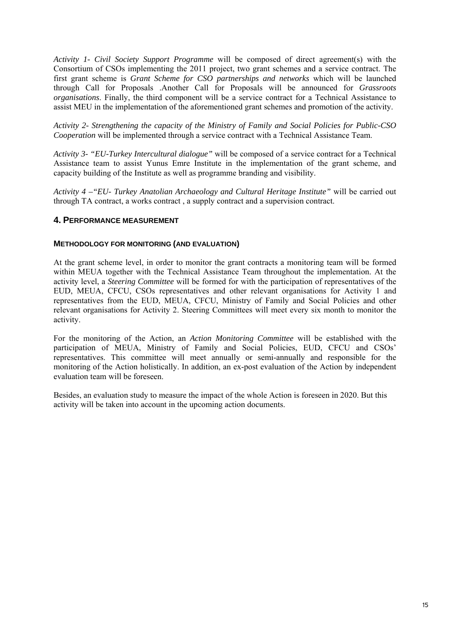*Activity 1- Civil Society Support Programme* will be composed of direct agreement(s) with the Consortium of CSOs implementing the 2011 project, two grant schemes and a service contract. The first grant scheme is *Grant Scheme for CSO partnerships and networks* which will be launched through Call for Proposals .Another Call for Proposals will be announced for *Grassroots organisations*. Finally, the third component will be a service contract for a Technical Assistance to assist MEU in the implementation of the aforementioned grant schemes and promotion of the activity.

*Activity 2- Strengthening the capacity of the Ministry of Family and Social Policies for Public-CSO Cooperation* will be implemented through a service contract with a Technical Assistance Team.

*Activity 3- "EU-Turkey Intercultural dialogue"* will be composed of a service contract for a Technical Assistance team to assist Yunus Emre Institute in the implementation of the grant scheme, and capacity building of the Institute as well as programme branding and visibility.

*Activity 4 –"EU- Turkey Anatolian Archaeology and Cultural Heritage Institute"* will be carried out through TA contract, a works contract , a supply contract and a supervision contract.

## **4. PERFORMANCE MEASUREMENT**

#### **METHODOLOGY FOR MONITORING (AND EVALUATION)**

At the grant scheme level, in order to monitor the grant contracts a monitoring team will be formed within MEUA together with the Technical Assistance Team throughout the implementation. At the activity level, a *Steering Committee* will be formed for with the participation of representatives of the EUD, MEUA, CFCU, CSOs representatives and other relevant organisations for Activity 1 and representatives from the EUD, MEUA, CFCU, Ministry of Family and Social Policies and other relevant organisations for Activity 2. Steering Committees will meet every six month to monitor the activity.

For the monitoring of the Action, an *Action Monitoring Committee* will be established with the participation of MEUA, Ministry of Family and Social Policies, EUD, CFCU and CSOs' representatives. This committee will meet annually or semi-annually and responsible for the monitoring of the Action holistically. In addition, an ex-post evaluation of the Action by independent evaluation team will be foreseen.

Besides, an evaluation study to measure the impact of the whole Action is foreseen in 2020. But this activity will be taken into account in the upcoming action documents.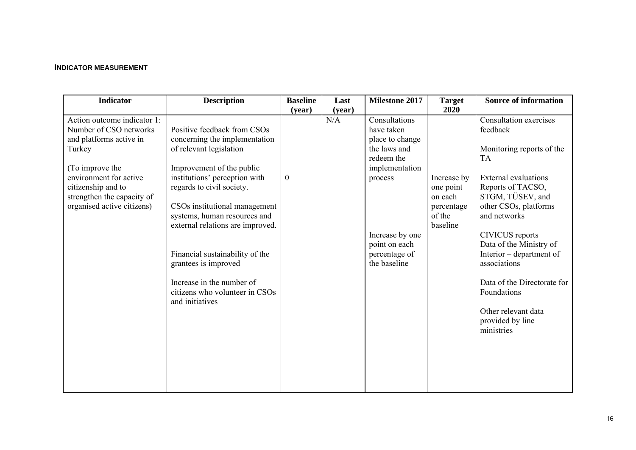### **INDICATOR MEASUREMENT**

| <b>Indicator</b>                                                                                                                                                                                                          | <b>Description</b>                                                                                                                                                                                                                                                                                                                                                                                                                   | <b>Baseline</b>            | Last          | <b>Milestone 2017</b>                                                                                                                                                          | <b>Target</b>                                                                   | <b>Source of information</b>                                                                                                                                                                                                                                                                                                                                                                          |
|---------------------------------------------------------------------------------------------------------------------------------------------------------------------------------------------------------------------------|--------------------------------------------------------------------------------------------------------------------------------------------------------------------------------------------------------------------------------------------------------------------------------------------------------------------------------------------------------------------------------------------------------------------------------------|----------------------------|---------------|--------------------------------------------------------------------------------------------------------------------------------------------------------------------------------|---------------------------------------------------------------------------------|-------------------------------------------------------------------------------------------------------------------------------------------------------------------------------------------------------------------------------------------------------------------------------------------------------------------------------------------------------------------------------------------------------|
|                                                                                                                                                                                                                           |                                                                                                                                                                                                                                                                                                                                                                                                                                      |                            |               |                                                                                                                                                                                |                                                                                 |                                                                                                                                                                                                                                                                                                                                                                                                       |
| Action outcome indicator 1:<br>Number of CSO networks<br>and platforms active in<br>Turkey<br>(To improve the<br>environment for active<br>citizenship and to<br>strengthen the capacity of<br>organised active citizens) | Positive feedback from CSOs<br>concerning the implementation<br>of relevant legislation<br>Improvement of the public<br>institutions' perception with<br>regards to civil society.<br>CSOs institutional management<br>systems, human resources and<br>external relations are improved.<br>Financial sustainability of the<br>grantees is improved<br>Increase in the number of<br>citizens who volunteer in CSOs<br>and initiatives | (year)<br>$\boldsymbol{0}$ | (year)<br>N/A | Consultations<br>have taken<br>place to change<br>the laws and<br>redeem the<br>implementation<br>process<br>Increase by one<br>point on each<br>percentage of<br>the baseline | 2020<br>Increase by<br>one point<br>on each<br>percentage<br>of the<br>baseline | Consultation exercises<br>feedback<br>Monitoring reports of the<br><b>TA</b><br><b>External evaluations</b><br>Reports of TACSO,<br>STGM, TÜSEV, and<br>other CSOs, platforms<br>and networks<br><b>CIVICUS</b> reports<br>Data of the Ministry of<br>Interior – department of<br>associations<br>Data of the Directorate for<br>Foundations<br>Other relevant data<br>provided by line<br>ministries |
|                                                                                                                                                                                                                           |                                                                                                                                                                                                                                                                                                                                                                                                                                      |                            |               |                                                                                                                                                                                |                                                                                 |                                                                                                                                                                                                                                                                                                                                                                                                       |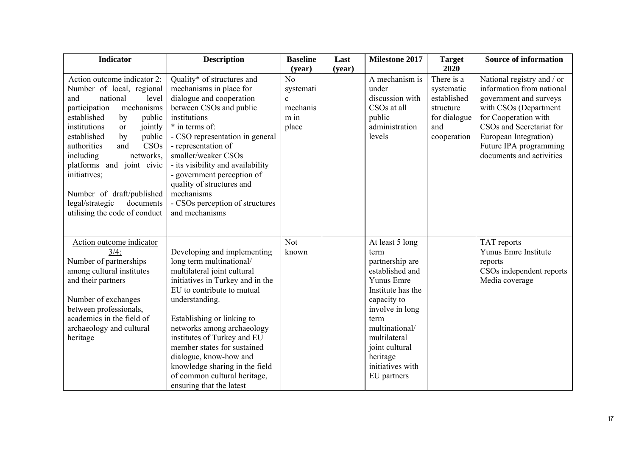| <b>Indicator</b>                                                                                                                                                                                                                                                                                                                                                                                                                         | <b>Description</b>                                                                                                                                                                                                                                                                                                                                                                                                           | <b>Baseline</b>                                                          | Last   | <b>Milestone 2017</b>                                                                                                                                                                                                                         | <b>Target</b><br>2020                                                                      | <b>Source of information</b>                                                                                                                                                                                                                  |
|------------------------------------------------------------------------------------------------------------------------------------------------------------------------------------------------------------------------------------------------------------------------------------------------------------------------------------------------------------------------------------------------------------------------------------------|------------------------------------------------------------------------------------------------------------------------------------------------------------------------------------------------------------------------------------------------------------------------------------------------------------------------------------------------------------------------------------------------------------------------------|--------------------------------------------------------------------------|--------|-----------------------------------------------------------------------------------------------------------------------------------------------------------------------------------------------------------------------------------------------|--------------------------------------------------------------------------------------------|-----------------------------------------------------------------------------------------------------------------------------------------------------------------------------------------------------------------------------------------------|
| Action outcome indicator 2:<br>Number of local, regional<br>national<br>and<br>level<br>participation<br>mechanisms<br>established<br>public<br>by<br>institutions<br>jointly<br><b>or</b><br>established<br>public<br>by<br>CSO <sub>s</sub><br>authorities<br>and<br>including<br>networks,<br>platforms and joint civic<br>initiatives;<br>Number of draft/published<br>legal/strategic<br>documents<br>utilising the code of conduct | Quality* of structures and<br>mechanisms in place for<br>dialogue and cooperation<br>between CSOs and public<br>institutions<br>* in terms of:<br>- CSO representation in general<br>- representation of<br>smaller/weaker CSOs<br>- its visibility and availability<br>- government perception of<br>quality of structures and<br>mechanisms<br>- CSOs perception of structures<br>and mechanisms                           | (year)<br>No<br>systemati<br>$\mathbf{c}$<br>mechanis<br>$m$ in<br>place | (year) | A mechanism is<br>under<br>discussion with<br>CSOs at all<br>public<br>administration<br>levels                                                                                                                                               | There is a<br>systematic<br>established<br>structure<br>for dialogue<br>and<br>cooperation | National registry and / or<br>information from national<br>government and surveys<br>with CSOs (Department<br>for Cooperation with<br>CSOs and Secretariat for<br>European Integration)<br>Future IPA programming<br>documents and activities |
| Action outcome indicator<br>3/4:<br>Number of partnerships<br>among cultural institutes<br>and their partners<br>Number of exchanges<br>between professionals,<br>academics in the field of<br>archaeology and cultural<br>heritage                                                                                                                                                                                                      | Developing and implementing<br>long term multinational/<br>multilateral joint cultural<br>initiatives in Turkey and in the<br>EU to contribute to mutual<br>understanding.<br>Establishing or linking to<br>networks among archaeology<br>institutes of Turkey and EU<br>member states for sustained<br>dialogue, know-how and<br>knowledge sharing in the field<br>of common cultural heritage,<br>ensuring that the latest | Not<br>known                                                             |        | At least 5 long<br>term<br>partnership are<br>established and<br>Yunus Emre<br>Institute has the<br>capacity to<br>involve in long<br>term<br>multinational/<br>multilateral<br>joint cultural<br>heritage<br>initiatives with<br>EU partners |                                                                                            | TAT reports<br>Yunus Emre Institute<br>reports<br>CSOs independent reports<br>Media coverage                                                                                                                                                  |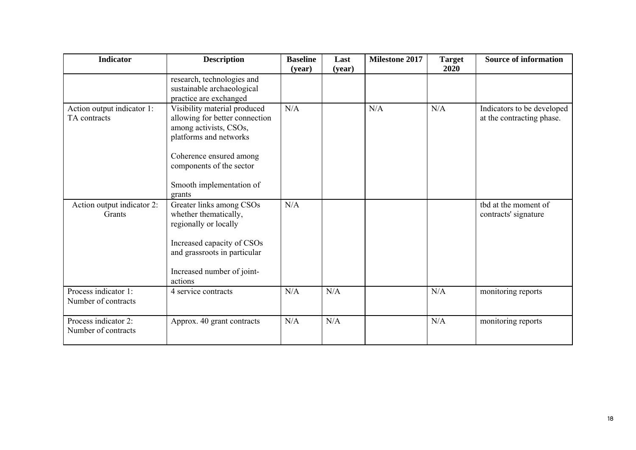| <b>Indicator</b>                            | <b>Description</b>                                                                                                                                                                                              | <b>Baseline</b><br>(year) | Last<br>(year) | <b>Milestone 2017</b> | <b>Target</b><br>2020 | <b>Source of information</b>                            |
|---------------------------------------------|-----------------------------------------------------------------------------------------------------------------------------------------------------------------------------------------------------------------|---------------------------|----------------|-----------------------|-----------------------|---------------------------------------------------------|
|                                             | research, technologies and<br>sustainable archaeological<br>practice are exchanged                                                                                                                              |                           |                |                       |                       |                                                         |
| Action output indicator 1:<br>TA contracts  | Visibility material produced<br>allowing for better connection<br>among activists, CSOs,<br>platforms and networks<br>Coherence ensured among<br>components of the sector<br>Smooth implementation of<br>grants | N/A                       |                | N/A                   | N/A                   | Indicators to be developed<br>at the contracting phase. |
| Action output indicator 2:<br>Grants        | Greater links among CSOs<br>whether thematically,<br>regionally or locally<br>Increased capacity of CSOs<br>and grassroots in particular<br>Increased number of joint-<br>actions                               | N/A                       |                |                       |                       | tbd at the moment of<br>contracts' signature            |
| Process indicator 1:<br>Number of contracts | 4 service contracts                                                                                                                                                                                             | N/A                       | N/A            |                       | N/A                   | monitoring reports                                      |
| Process indicator 2:<br>Number of contracts | Approx. 40 grant contracts                                                                                                                                                                                      | N/A                       | N/A            |                       | N/A                   | monitoring reports                                      |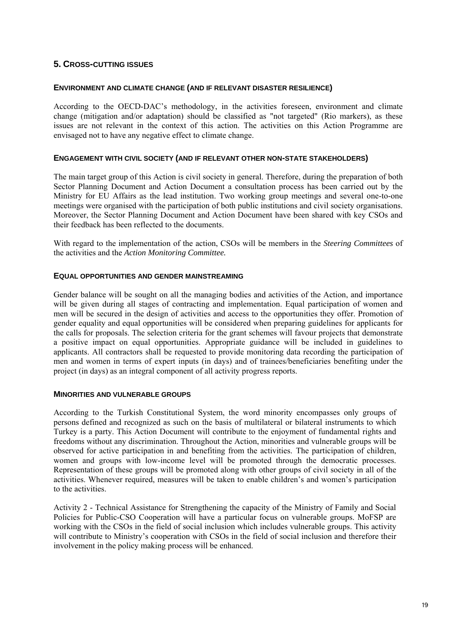## **5. CROSS-CUTTING ISSUES**

#### **ENVIRONMENT AND CLIMATE CHANGE (AND IF RELEVANT DISASTER RESILIENCE)**

According to the OECD-DAC's methodology, in the activities foreseen, environment and climate change (mitigation and/or adaptation) should be classified as "not targeted" (Rio markers), as these issues are not relevant in the context of this action. The activities on this Action Programme are envisaged not to have any negative effect to climate change.

#### **ENGAGEMENT WITH CIVIL SOCIETY (AND IF RELEVANT OTHER NON-STATE STAKEHOLDERS)**

The main target group of this Action is civil society in general. Therefore, during the preparation of both Sector Planning Document and Action Document a consultation process has been carried out by the Ministry for EU Affairs as the lead institution. Two working group meetings and several one-to-one meetings were organised with the participation of both public institutions and civil society organisations. Moreover, the Sector Planning Document and Action Document have been shared with key CSOs and their feedback has been reflected to the documents.

With regard to the implementation of the action, CSOs will be members in the *Steering Committees* of the activities and the *Action Monitoring Committee.*

#### **EQUAL OPPORTUNITIES AND GENDER MAINSTREAMING**

Gender balance will be sought on all the managing bodies and activities of the Action, and importance will be given during all stages of contracting and implementation. Equal participation of women and men will be secured in the design of activities and access to the opportunities they offer. Promotion of gender equality and equal opportunities will be considered when preparing guidelines for applicants for the calls for proposals. The selection criteria for the grant schemes will favour projects that demonstrate a positive impact on equal opportunities. Appropriate guidance will be included in guidelines to applicants. All contractors shall be requested to provide monitoring data recording the participation of men and women in terms of expert inputs (in days) and of trainees/beneficiaries benefiting under the project (in days) as an integral component of all activity progress reports.

#### **MINORITIES AND VULNERABLE GROUPS**

According to the Turkish Constitutional System, the word minority encompasses only groups of persons defined and recognized as such on the basis of multilateral or bilateral instruments to which Turkey is a party. This Action Document will contribute to the enjoyment of fundamental rights and freedoms without any discrimination. Throughout the Action, minorities and vulnerable groups will be observed for active participation in and benefiting from the activities. The participation of children, women and groups with low-income level will be promoted through the democratic processes. Representation of these groups will be promoted along with other groups of civil society in all of the activities. Whenever required, measures will be taken to enable children's and women's participation to the activities.

Activity 2 - Technical Assistance for Strengthening the capacity of the Ministry of Family and Social Policies for Public-CSO Cooperation will have a particular focus on vulnerable groups. MoFSP are working with the CSOs in the field of social inclusion which includes vulnerable groups. This activity will contribute to Ministry's cooperation with CSOs in the field of social inclusion and therefore their involvement in the policy making process will be enhanced.